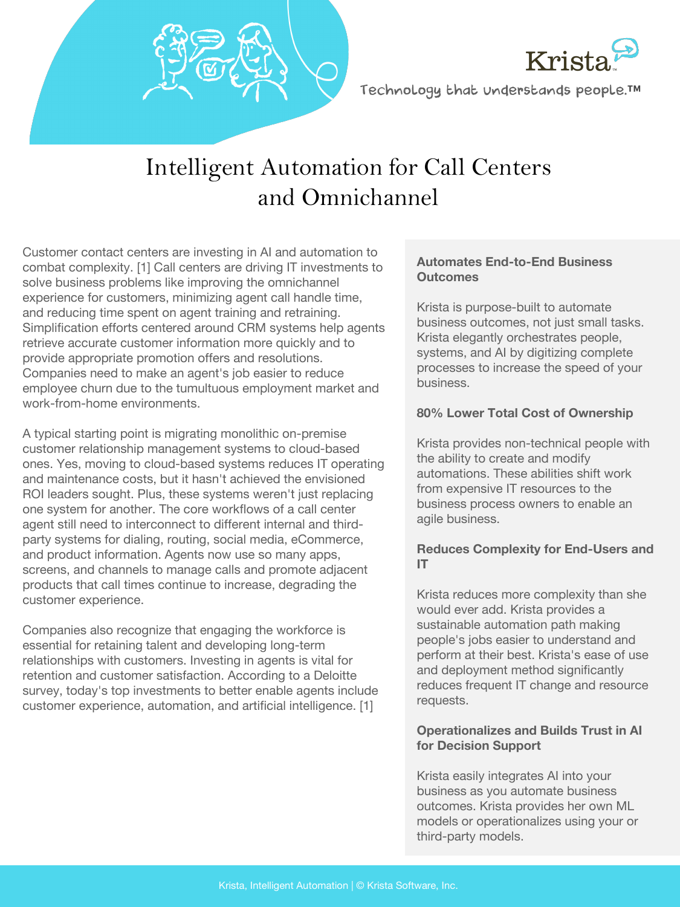



Technology that understands people.™

# Intelligent Automation for Call Centers and Omnichannel

Customer contact centers are investing in AI and automation to combat complexity. [1] Call centers are driving IT investments to solve business problems like improving the omnichannel experience for customers, minimizing agent call handle time, and reducing time spent on agent training and retraining. Simplification efforts centered around CRM systems help agents retrieve accurate customer information more quickly and to provide appropriate promotion offers and resolutions. Companies need to make an agent's job easier to reduce employee churn due to the tumultuous employment market and work-from-home environments.

A typical starting point is migrating monolithic on-premise customer relationship management systems to cloud-based ones. Yes, moving to cloud-based systems reduces IT operating and maintenance costs, but it hasn't achieved the envisioned ROI leaders sought. Plus, these systems weren't just replacing one system for another. The core workflows of a call center agent still need to interconnect to different internal and thirdparty systems for dialing, routing, social media, eCommerce, and product information. Agents now use so many apps, screens, and channels to manage calls and promote adjacent products that call times continue to increase, degrading the customer experience.

Companies also recognize that engaging the workforce is essential for retaining talent and developing long-term relationships with customers. Investing in agents is vital for retention and customer satisfaction. According to a Deloitte survey, today's top investments to better enable agents include customer experience, automation, and artificial intelligence. [1]

#### **Automates End-to-End Business Outcomes**

Krista is purpose-built to automate business outcomes, not just small tasks. Krista elegantly orchestrates people, systems, and AI by digitizing complete processes to increase the speed of your business.

#### **80% Lower Total Cost of Ownership**

Krista provides non-technical people with the ability to create and modify automations. These abilities shift work from expensive IT resources to the business process owners to enable an agile business.

#### **Reduces Complexity for End-Users and IT**

Krista reduces more complexity than she would ever add. Krista provides a sustainable automation path making people's jobs easier to understand and perform at their best. Krista's ease of use and deployment method significantly reduces frequent IT change and resource requests.

#### **Operationalizes and Builds Trust in AI for Decision Support**

Krista easily integrates AI into your business as you automate business outcomes. Krista provides her own ML models or operationalizes using your or third-party models.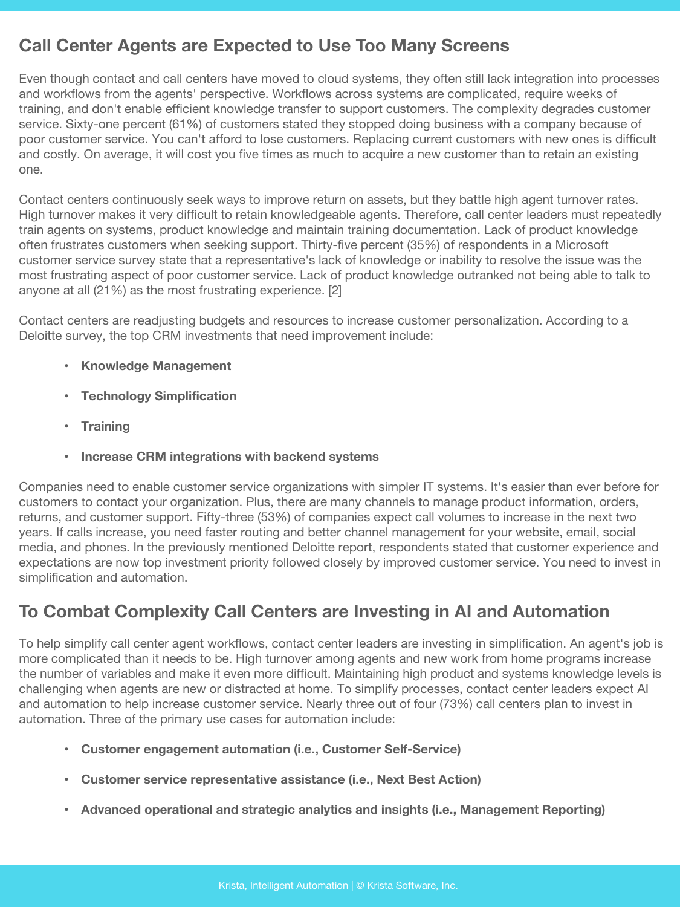### **Call Center Agents are Expected to Use Too Many Screens**

Even though contact and call centers have moved to cloud systems, they often still lack integration into processes and workflows from the agents' perspective. Workflows across systems are complicated, require weeks of training, and don't enable efficient knowledge transfer to support customers. The complexity degrades customer service. Sixty-one percent (61%) of customers stated they stopped doing business with a company because of poor customer service. You can't afford to lose customers. Replacing current customers with new ones is difficult and costly. On average, it will cost you five times as much to acquire a new customer than to retain an existing one.

Contact centers continuously seek ways to improve return on assets, but they battle high agent turnover rates. High turnover makes it very difficult to retain knowledgeable agents. Therefore, call center leaders must repeatedly train agents on systems, product knowledge and maintain training documentation. Lack of product knowledge often frustrates customers when seeking support. Thirty-five percent (35%) of respondents in a Microsoft customer service survey state that a representative's lack of knowledge or inability to resolve the issue was the most frustrating aspect of poor customer service. Lack of product knowledge outranked not being able to talk to anyone at all (21%) as the most frustrating experience. [2]

Contact centers are readjusting budgets and resources to increase customer personalization. According to a Deloitte survey, the top CRM investments that need improvement include:

- **Knowledge Management**
- **Technology Simplification**
- **Training**
- **Increase CRM integrations with backend systems**

Companies need to enable customer service organizations with simpler IT systems. It's easier than ever before for customers to contact your organization. Plus, there are many channels to manage product information, orders, returns, and customer support. Fifty-three (53%) of companies expect call volumes to increase in the next two years. If calls increase, you need faster routing and better channel management for your website, email, social media, and phones. In the previously mentioned Deloitte report, respondents stated that customer experience and expectations are now top investment priority followed closely by improved customer service. You need to invest in simplification and automation.

### **To Combat Complexity Call Centers are Investing in AI and Automation**

To help simplify call center agent workflows, contact center leaders are investing in simplification. An agent's job is more complicated than it needs to be. High turnover among agents and new work from home programs increase the number of variables and make it even more difficult. Maintaining high product and systems knowledge levels is challenging when agents are new or distracted at home. To simplify processes, contact center leaders expect AI and automation to help increase customer service. Nearly three out of four (73%) call centers plan to invest in automation. Three of the primary use cases for automation include:

- **Customer engagement automation (i.e., Customer Self-Service)**
- **Customer service representative assistance (i.e., Next Best Action)**
- **Advanced operational and strategic analytics and insights (i.e., Management Reporting)**